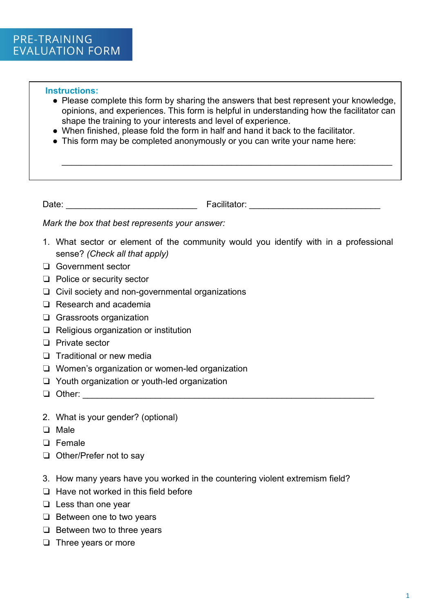## **Instructions:**

• Please complete this form by sharing the answers that best represent your knowledge, opinions, and experiences. This form is helpful in understanding how the facilitator can shape the training to your interests and level of experience.

\_\_\_\_\_\_\_\_\_\_\_\_\_\_\_\_\_\_\_\_\_\_\_\_\_\_\_\_\_\_\_\_\_\_\_\_\_\_\_\_\_\_\_\_\_\_\_\_\_\_\_\_\_\_\_\_\_\_\_\_\_\_\_\_\_\_\_\_

- When finished, please fold the form in half and hand it back to the facilitator.
- This form may be completed anonymously or you can write your name here:

Date: \_\_\_\_\_\_\_\_\_\_\_\_\_\_\_\_\_\_\_\_\_\_\_\_\_\_\_ Facilitator: \_\_\_\_\_\_\_\_\_\_\_\_\_\_\_\_\_\_\_\_\_\_\_\_\_\_\_

*Mark the box that best represents your answer:*

- 1. What sector or element of the community would you identify with in a professional sense? *(Check all that apply)*
- ❏ Government sector
- ❏ Police or security sector
- ❏ Civil society and non-governmental organizations
- ❏ Research and academia
- ❏ Grassroots organization
- ❏ Religious organization or institution
- ❏ Private sector
- ❏ Traditional or new media
- ❏ Women's organization or women-led organization
- ❏ Youth organization or youth-led organization
- ❏ Other: \_\_\_\_\_\_\_\_\_\_\_\_\_\_\_\_\_\_\_\_\_\_\_\_\_\_\_\_\_\_\_\_\_\_\_\_\_\_\_\_\_\_\_\_\_\_\_\_\_\_\_\_\_\_\_\_\_\_\_\_
- 2. What is your gender? (optional)
- ❏ Male
- ❏ Female
- ❏ Other/Prefer not to say
- 3. How many years have you worked in the countering violent extremism field?
- ❏ Have not worked in this field before
- ❏ Less than one year
- ❏ Between one to two years
- ❏ Between two to three years
- ❏ Three years or more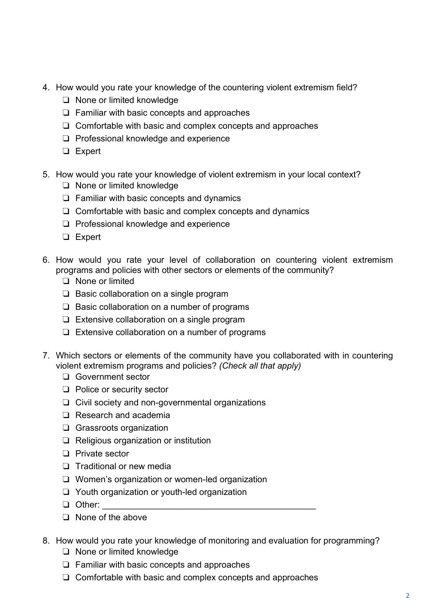- 4. How would you rate your knowledge of the countering violent extremism field?
	- ❏ None or limited knowledge
	- ❏ Familiar with basic concepts and approaches
	- ❏ Comfortable with basic and complex concepts and approaches
	- ❏ Professional knowledge and experience
	- ❏ Expert
- 5. How would you rate your knowledge of violent extremism in your local context?
	- ❏ None or limited knowledge
	- ❏ Familiar with basic concepts and dynamics
	- ❏ Comfortable with basic and complex concepts and dynamics
	- ❏ Professional knowledge and experience
	- ❏ Expert
- 6. How would you rate your level of collaboration on countering violent extremism programs and policies with other sectors or elements of the community?
	- ❏ None or limited
	- ❏ Basic collaboration on a single program
	- ❏ Basic collaboration on a number of programs
	- ❏ Extensive collaboration on a single program
	- ❏ Extensive collaboration on a number of programs
- 7. Which sectors or elements of the community have you collaborated with in countering violent extremism programs and policies? *(Check all that apply)*
	- ❏ Government sector
	- ❏ Police or security sector
	- ❏ Civil society and non-governmental organizations
	- ❏ Research and academia
	- ❏ Grassroots organization
	- ❏ Religious organization or institution
	- ❏ Private sector
	- ❏ Traditional or new media
	- ❏ Women's organization or women-led organization
	- ❏ Youth organization or youth-led organization
	- ❏ Other: \_\_\_\_\_\_\_\_\_\_\_\_\_\_\_\_\_\_\_\_\_\_\_\_\_\_\_\_\_\_\_\_\_\_\_\_\_\_\_\_\_\_\_\_
	- ❏ None of the above
- 8. How would you rate your knowledge of monitoring and evaluation for programming?
	- ❏ None or limited knowledge
	- ❏ Familiar with basic concepts and approaches
	- ❏ Comfortable with basic and complex concepts and approaches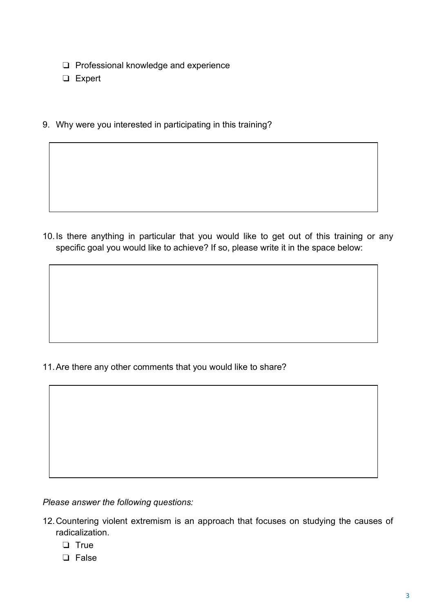- ❏ Professional knowledge and experience
- ❏ Expert
- 9. Why were you interested in participating in this training?

10.Is there anything in particular that you would like to get out of this training or any specific goal you would like to achieve? If so, please write it in the space below:

11.Are there any other comments that you would like to share?

*Please answer the following questions:*

- 12.Countering violent extremism is an approach that focuses on studying the causes of radicalization.
	- ❏ True
	- ❏ False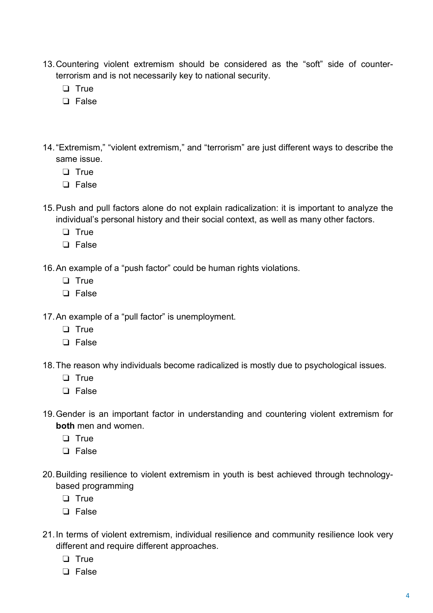- 13.Countering violent extremism should be considered as the "soft" side of counterterrorism and is not necessarily key to national security.
	- ❏ True
	- ❏ False
- 14."Extremism," "violent extremism," and "terrorism" are just different ways to describe the same issue.
	- ❏ True
	- ❏ False
- 15.Push and pull factors alone do not explain radicalization: it is important to analyze the individual's personal history and their social context, as well as many other factors.
	- ❏ True
	- ❏ False
- 16.An example of a "push factor" could be human rights violations.
	- ❏ True
	- ❏ False

17.An example of a "pull factor" is unemployment.

- ❏ True
- ❏ False
- 18.The reason why individuals become radicalized is mostly due to psychological issues.
	- ❏ True
	- ❏ False
- 19.Gender is an important factor in understanding and countering violent extremism for **both** men and women.
	- ❏ True
	- ❏ False
- 20.Building resilience to violent extremism in youth is best achieved through technologybased programming
	- ❏ True
	- ❏ False
- 21.In terms of violent extremism, individual resilience and community resilience look very different and require different approaches.
	- ❏ True
	- ❏ False